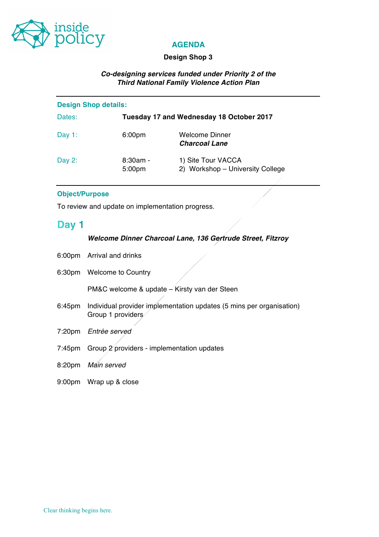

# **AGENDA**

### **Design Shop 3**

# *Co-designing services funded under Priority 2 of the Third National Family Violence Action Plan*

| <b>Design Shop details:</b> |                      |                                                        |  |
|-----------------------------|----------------------|--------------------------------------------------------|--|
| Dates:                      |                      | Tuesday 17 and Wednesday 18 October 2017               |  |
| Day $1$ :                   | 6:00pm               | Welcome Dinner<br><b>Charcoal Lane</b>                 |  |
| Day $2$ :                   | $8:30am -$<br>5:00pm | 1) Site Tour VACCA<br>2) Workshop - University College |  |

#### **Object/Purpose**

To review and update on implementation progress.

# Day 1

#### *Welcome Dinner Charcoal Lane, 136 Gertrude Street, Fitzroy*

- 6:00pm Arrival and drinks
- 6:30pm Welcome to Country

PM&C welcome & update – Kirsty van der Steen

- 6:45pm Individual provider implementation updates (5 mins per organisation) Group 1 providers
- 7:20pm *Entrée served*
- 7:45pm Group 2 providers implementation updates
- 8:20pm *Main served*
- 9:00pm Wrap up & close